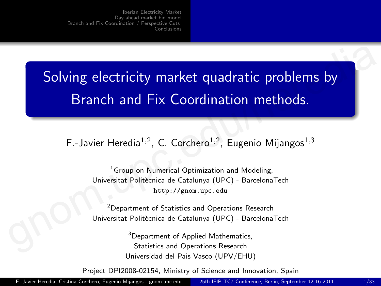Solving electricity market quadratic problems by Branch and Fix Coordination methods. Solving electricity market quadratic problems by<br>
Branch and Fix Coordination methods.<br>
F.-Javier Heredia<sup>1,2</sup>, C. Corchero<sup>1,2</sup>, Eugenio Mijangos<sup>1,3</sup><br>
<sup>1</sup>Group on Numerical Optimization and Modeling,<br>
Universitat Politei

F.-Javier Heredia<sup>1,2</sup>, C. Corchero<sup>1,2</sup>, Eugenio Mijangos<sup>1,3</sup>

<sup>1</sup> Group on Numerical Optimization and Modeling, Universitat Politècnica de Catalunya (UPC) - BarcelonaTech http://gnom.upc.edu

<sup>2</sup> Department of Statistics and Operations Research Universitat Politècnica de Catalunya (UPC) - BarcelonaTech

> <span id="page-0-0"></span><sup>3</sup>Department of Applied Mathematics, Statistics and Operations Research Universidad del Pais Vasco (UPV/EHU)

Project DPI2008-02154, Ministry of Science and Innovation, Spain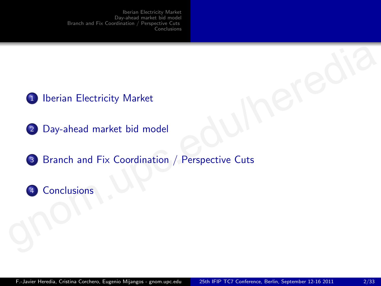- <sup>1</sup> Iberian Electricity Market
- <sup>2</sup> Day-ahead market bid model
- 3 Branch and Fix Coordination / Perspective Cuts Therian Electricity Market<br>
2 Day-ahead [m](#page-30-0)arket bid model<br>
3 Branch and Fix Coordination / Perspective Cuts<br>
3 Conclusions
	- 4 Conclusions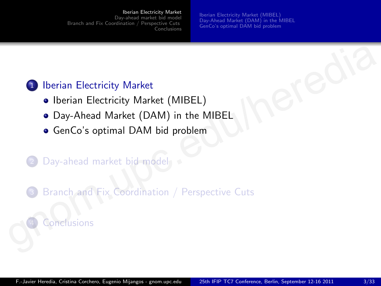#### [Iberian Electricity Market](#page-2-0)

[Day-ahead market bid model](#page-8-0) [Branch and Fix Coordination / Perspective Cuts](#page-20-0) [Conclusions](#page-30-0) <span id="page-2-0"></span>[Iberian Electricity Market \(MIBEL\)](#page-3-0) [Day-Ahead Market \(DAM\) in the MIBEL](#page-5-0) [GenCo's optimal DAM bid problem](#page-6-0)

## <sup>1</sup> Iberian Electricity Market

- Iberian Electricity Market (MIBEL)
- Day-Ahead Market (DAM) in the MIBEL
- GenCo's optimal DAM bid problem

## Day-ahead market bid model

Branch and Fix Coordination / Perspective Cuts Th[e](#page-6-0)rian Electricity Market<br>
• Iberian Electricity Market (MIBEL)<br>
• Day-Ahead Market (DAM) in the MIBEL<br>
• GenCo's optimal DAM bid problem<br>
• Day-ahead market bid-model<br>
• Branch and Fix Coordination / Perspective Cuts<br>
•

## nclusions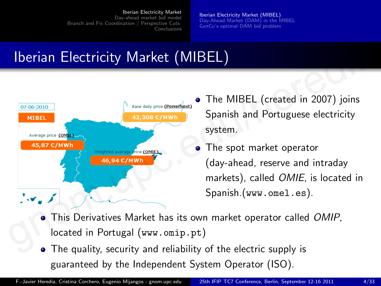[Iberian Electricity Market \(MIBEL\)](#page-3-0) [Day-Ahead Market \(DAM\) in the MIBEL](#page-5-0) [GenCo's optimal DAM bid problem](#page-6-0)

# Iberian Electricity Market (MIBEL)



- The MIBEL (created in 2007) joins Spanish and Portuguese electricity system.
- <span id="page-3-0"></span>• The spot market operator (day-ahead, reserve and intraday markets), called OMIE, is located in Spanish.(www.omel.es).
- . This Derivatives Market has its own market operator called OMIP, located in Portugal (www.omip.pt)
- The quality, security and reliability of the electric supply is guaranteed by the Independent System Operator (ISO).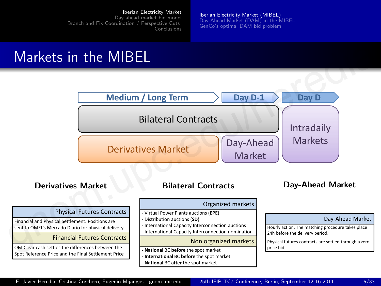[Iberian Electricity Market \(MIBEL\)](#page-3-0) [Day-Ahead Market \(DAM\) in the MIBEL](#page-5-0) [GenCo's optimal DAM bid problem](#page-6-0)

## Markets in the MIBEL



F.-Javier Heredia, Cristina Corchero, Eugenio Mijangos - gnom.upc.edu 25th [IFIP TC7 Conference, Berlin, September 12-16 2011](#page-0-0) 5/33 Financial and Physical Settlement. Positions are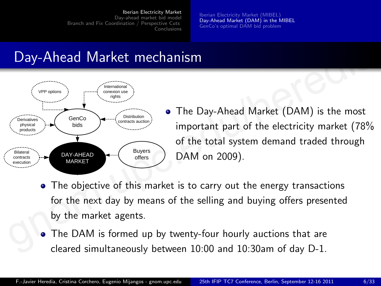[Iberian Electricity Market \(MIBEL\)](#page-3-0) [Day-Ahead Market \(DAM\) in the MIBEL](#page-5-0) [GenCo's optimal DAM bid problem](#page-6-0)

## Day-Ahead Market mechanism



- <span id="page-5-0"></span>The Day-Ahead Market (DAM) is the most important part of the electricity market (78% of the total system demand traded through DAM on 2009).
- The objective of this market is to carry out the energy transactions for the next day by means of the selling and buying offers presented by the market agents.
- The DAM is formed up by twenty-four hourly auctions that are cleared simultaneously between 10:00 and 10:30am of day D-1.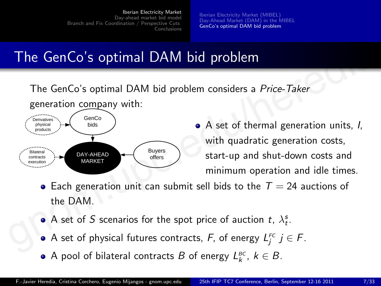[Iberian Electricity Market \(MIBEL\)](#page-3-0) [Day-Ahead Market \(DAM\) in the MIBEL](#page-5-0) [GenCo's optimal DAM bid problem](#page-6-0)

# The GenCo's optimal DAM bid problem

The GenCo's optimal DAM bid problem considers a Price-Taker generation company with:



- <span id="page-6-0"></span>• A set of thermal generation units, I, with quadratic generation costs, start-up and shut-down costs and minimum operation and idle times.
- Each generation unit can submit sell bids to the  $T = 24$  auctions of the DAM.
- A set of S scenarios for the spot price of auction  $t$ ,  $\lambda_t^s$ .
- A set of physical futures contracts,  $F$ , of energy  $L_j^{FC}$   $j \in F$ .
- A pool of bilateral contracts  $B$  of energy  $L_k^{\text{BC}}$ ,  $k \in B$ .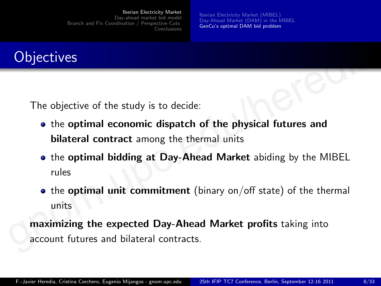[Iberian Electricity Market \(MIBEL\)](#page-3-0) [Day-Ahead Market \(DAM\) in the MIBEL](#page-5-0) [GenCo's optimal DAM bid problem](#page-6-0)



The objective of the study is to decide:

- the optimal economic dispatch of the physical futures and bilateral contract among the thermal units
- the optimal bidding at Day-Ahead Market abiding by the MIBEL rules Objectives<br>
The objective of the study is to decide:<br>
• the optimal economic dispatch of the physical futures and<br>
bilateral contract among the thermal units<br>
• the optimal bidding at Day-Ahead Market abiding by the MIBEL<br>
	- $\bullet$  the optimal unit commitment (binary on/off state) of the thermal units

maximizing the expected Day-Ahead Market profits taking into account futures and bilateral contracts.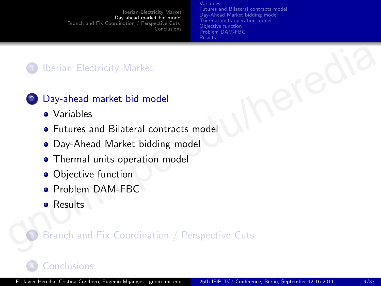Variables [Futures and Bilateral contracts model](#page-10-0) [Day-Ahead Market bidding model](#page-12-0) [Thermal units operation model](#page-14-0) [Objective function](#page-15-0) [Problem DAM-FBC](#page-16-0) **[Results](#page-17-0)** 

## <sup>1</sup> Iberian Electricity Market

## <sup>2</sup> Day-ahead market bid model

- Variables
- **Futures and Bilateral contracts model**
- Day-Ahead Market bidding model
- **Thermal units operation model**
- Objective function
- Problem DAM-FBC
- <span id="page-8-0"></span>**•** Results

# Branch and Fix Coordination / Perspective Cuts Day-ahead market bid model<br>
• Variables<br>
• Futures a[n](#page-20-0)d Bilateral c[o](#page-17-0)ntracts [m](#page-16-0)odel<br>
• Day-Ahead Market bidding model<br>
• Thermal [u](#page-15-0)nits op[e](#page-12-0)ration model<br>
• Objective function<br>
• Problem DAM-FBC<br>
• Results<br>
• Branch and Fix Coor

## **[Conclusions](#page-30-0)**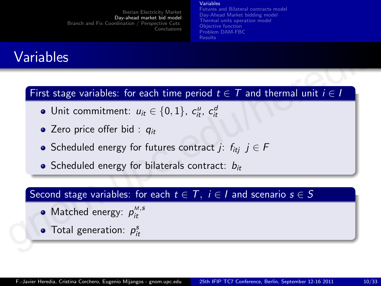#### Variables

[Futures and Bilateral contracts model](#page-10-0) [Day-Ahead Market bidding model](#page-12-0) [Thermal units operation model](#page-14-0) [Objective function](#page-15-0) [Problem DAM-FBC](#page-16-0) [Results](#page-17-0)

# Variables

# First stage variables: for each time period  $t \in T$  and thermal unit  $i \in I$ **Variables**<br>
First stage variables: for each time period  $t \in T$  and thermal unit  $i \in I$ <br>
• Unit commitment:  $u_{it} \in \{0, 1\}$ ,  $c_{it}^u$ ,  $c_{it}^d$ <br>
• Zero price offer bid :  $q_{it}$ <br>
• Scheduled energy for futures contract  $j$

- Unit commitment:  $u_{it} \in \{0, 1\}$ ,  $c_{it}^u$ ,  $c_{it}^d$
- $\bullet$  Zero price offer bid :  $q_{it}$
- Scheduled energy for futures contract j:  $f_{iti}$  j  $\in$  F
- $\bullet$  Scheduled energy for bilaterals contract:  $b_{it}$

## Second stage variables: for each  $t \in T$ ,  $i \in I$  and scenario  $s \in S$

- Matched energy:  $p_{it}^{M,s}$
- <span id="page-9-0"></span>Total generation:  $p_{it}^s$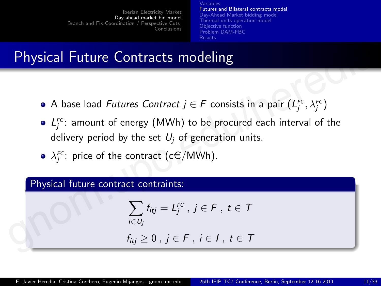Variables [Futures and Bilateral contracts model](#page-10-0) [Day-Ahead Market bidding model](#page-12-0) [Thermal units operation model](#page-14-0) [Objective function](#page-15-0) [Problem DAM-FBC](#page-16-0) [Results](#page-17-0)

# Physical Future Contracts modeling

- A base load *Futures Contract*  $j \in F$  consists in a pair  $\left( L_j^{_{\mathsf{FC}}}, \lambda_j^{_{\mathsf{FC}}}\right)$
- $L_j^{FC}$ : amount of energy (MWh) to be procured each interval of the delivery period by the set  $U_i$  of generation units. **Physical Future Contracts modeling**<br>
• A base load *Futures Contract*  $j \,\in F$  *consists in a pair*  $(L_j^{FC}, \lambda_j^{FC})$ <br>
•  $L_j^{FC}$ : amount of energy (MWh) to be procured each interval of the<br>
delivery period by the set  $U_j$  of ge
	- $\lambda^{\text{\tiny FC}}_j$ : price of the contract (c $\in$ /MWh).

### Physical future contract contraints:

$$
\sum_{i\in U_j} f_{itj} = L_j^{FC}, j\in F, t\in T
$$

<span id="page-10-0"></span>
$$
f_{itj}\geq 0\,,\,j\in F\,,\,i\in I\,,\,t\in T
$$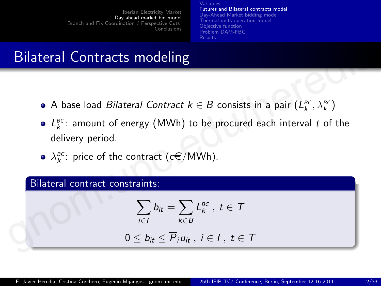Variables [Futures and Bilateral contracts model](#page-10-0) [Day-Ahead Market bidding model](#page-12-0) [Thermal units operation model](#page-14-0) [Objective function](#page-15-0) [Problem DAM-FBC](#page-16-0) [Results](#page-17-0)

# Bilateral Contracts modeling

- A base load *Bilateral Contract k*  $\in$  *B* consists in a pair  $(L_{k}^{\text{BC}}, \lambda_{k}^{\text{BC}})$
- $L_{k}^{BC}$ : amount of energy (MWh) to be procured each interval t of the delivery period. **Bilateral Contracts modeling**<br>
• A base load *Bilateral Contract k*  $\in$  *B* consists in a pair  $(L_k^{BC}, \lambda_k^{BC})$ <br>
•  $L_k^{BC}$ : amount of energy (MWh) to be procured each interval *t* of the<br>
delivery period.<br>
•  $\lambda_k^{BC}$ : pric
	- $\lambda_k^{\text{BC}}$ : price of the contract (c $\in$ /MWh).

### Bilateral contract constraints:

$$
\sum_{i \in I} b_{it} = \sum_{k \in B} L_k^{BC}, t \in T
$$

$$
0\leq b_{it}\leq \overline{P}_iu_{it}\ ,\ i\in I\ ,\ t\in\mathcal{T}
$$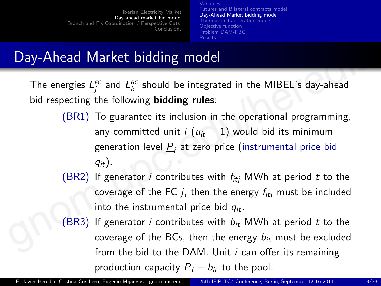<span id="page-12-0"></span>Variables [Futures and Bilateral contracts model](#page-10-0) [Day-Ahead Market bidding model](#page-12-0) [Thermal units operation model](#page-14-0) [Objective function](#page-15-0) [Problem DAM-FBC](#page-16-0) [Results](#page-17-0)

# Day-Ahead Market bidding model

The energies  $L_j^{\text{\tiny FC}}$  and  $L_k^{\text{\tiny BC}}$  should be integrated in the MIBEL's day-ahead bid respecting the following **bidding rules**:

- (BR1) To guarantee its inclusion in the operational programming, any committed unit  $i (u_{it} = 1)$  would bid its minimum generation level  $\underline{P}_i$  at zero price (instrumental price bid  $q_{it}$ ). **Day-Ahead Market bidding model**<br>
The energies  $L_j^{rc}$  and  $L_k^{gc}$  should be integrated in the MIBEL's day-ahead<br>
bid respecting the following **bidding rules**:<br>
(BR1) To guarantee its inclusion in the operational programm
	- (BR2) If generator *i* contributes with  $f_{itj}$  MWh at period *t* to the coverage of the FC  $j$ , then the energy  $f_{itj}$  must be included into the instrumental price bid  $q_{it}$ .
	- (BR3) If generator *i* contributes with  $b_{it}$  MWh at period *t* to the coverage of the BCs, then the energy  $b_{it}$  must be excluded from the bid to the DAM. Unit  $i$  can offer its remaining production capacity  $\overline{P}_i - b_{it}$  to the pool.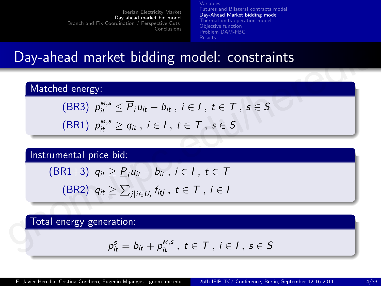Variables [Futures and Bilateral contracts model](#page-10-0) [Day-Ahead Market bidding model](#page-12-0) [Thermal units operation model](#page-14-0) [Objective function](#page-15-0) [Problem DAM-FBC](#page-16-0) [Results](#page-17-0)

## Day-ahead market bidding model: constraints

Matched energy:

(BR3) 
$$
p_{it}^{M, s} \le \overline{P}_i u_{it} - b_{it}, i \in I, t \in T, s \in S
$$

$$
(\text{BR1}) \ \ p_{it}^{M,s} \geq q_{it} \ , \ i \in I \ , \ t \in \mathcal{T} \ , \ s \in \mathcal{S}
$$

Instrumental price bid:

Day-ahead market bidding model: constraints

\n

| Matched energy: |                                                                                        |
|-----------------|----------------------------------------------------------------------------------------|
| (BR3)           | $p_{it}^{M,s} \leq \overline{P}_i u_{it} - b_{it}$ , $i \in I$ , $t \in T$ , $s \in S$ |
| (BR1)           | $p_{it}^{M,s} \geq q_{it}$ , $i \in I$ , $t \in T$ , $s \in S$                         |

\nInstrumental price bid:

\n(BR1+3)

\n $q_{it} \geq \underline{P}_i u_{it} - b_{it}$ ,  $i \in I$ ,  $t \in T$ 

\n(BR2)

\n $q_{it} \geq \sum_{j \mid i \in U_j} f_{itj}$ ,  $t \in T$ ,  $i \in I$ 

\nTotal energy generation:

\n $p_{it}^s = b_{it} + p_{it}^{M,s}$ ,  $t \in T$ ,  $i \in I$ ,  $s \in S$ 

Total energy generation:

$$
p_{it}^s = b_{it} + p_{it}^{M,s}, t \in T, i \in I, s \in S
$$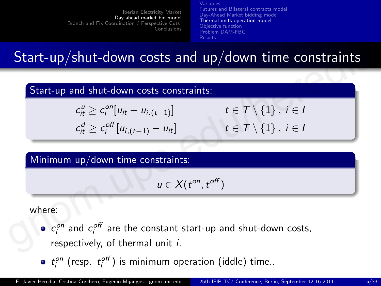Variables [Futures and Bilateral contracts model](#page-10-0) [Day-Ahead Market bidding model](#page-12-0) [Thermal units operation model](#page-14-0) [Objective function](#page-15-0) [Problem DAM-FBC](#page-16-0) [Results](#page-17-0)

# Start-up/shut-down costs and up/down time constraints

## Start-up and shut-down costs constraints:

 $c_{it}^u \geq c_i^{on}$  $t \in \mathcal{T} \setminus \{1\}$ ,  $i \in I$  $c_{it}^d \geq c_i^{off}$  $t\in\mathcal{T}\setminus\{1\}$ ,  $i\in I$ Start-up/shut-down costs and up/down time constraints<br>
Start-up and shut-down costs constraints:<br>  $c_n^u \ge c_i^{on}[u_{it} - u_{i,(t-1)}]$   $t \in T \setminus \{1\}$ ,  $i \in I$ <br>  $c_n^d \ge c_i^{off}[u_{i,(t-1)} - u_{it}]$   $t \in T \setminus \{1\}$ ,  $i \in I$ <br>
Minimum up/down time

Minimum up/down time constraints:

<span id="page-14-0"></span> $u \in X(t^{on}, t^{off})$ 

where:

- $c_i^{on}$  and  $c_i^{off}$  are the constant start-up and shut-down costs, respectively, of thermal unit i.
- $t_i^{on}$  (resp.  $t_i^{off}$ ) is minimum operation (iddle) time..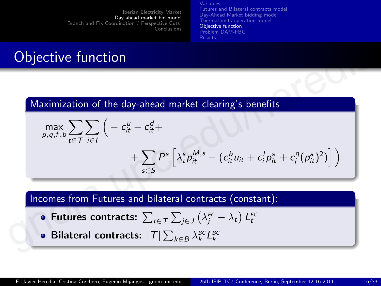Variables [Futures and Bilateral contracts model](#page-10-0) [Day-Ahead Market bidding model](#page-12-0) [Thermal units operation model](#page-14-0) [Objective function](#page-15-0) [Problem DAM-FBC](#page-16-0) [Results](#page-17-0)

# Objective function

Maximization of the day-ahead market clearing's benefits

**Objective function**

\nMaximization of the day-ahead market clearing's benefits

\n
$$
\max_{p,q,f,b} \sum_{t \in T} \sum_{i \in I} \left( -c_{it}^{u} - c_{it}^{d} + \frac{1}{\sum_{s \in S} P^{s} \left[ \lambda_{t}^{s} p_{it}^{M,s} - (c_{it}^{b} u_{it} + c_{i}^{l} p_{it}^{s} + c_{i}^{q} (p_{it}^{s})^{2}) \right] \right)
$$
\nIncomes from Futures and bilateral contracts (constant):

\nFuture contracts: 
$$
\sum_{t \in T} \sum_{j \in J} \left( \lambda_{t}^{FC} - \lambda_{t} \right) L_{t}^{FC}
$$
\nBilateral contracts: 
$$
|T| \sum_{k \in B} \lambda_{k}^{BC} L_{k}^{BC}
$$

Incomes from Futures and bilateral contracts (constant):

- Futures contracts:  $\sum_{t\in\mathcal{T}}\sum_{j\in J}\left(\lambda_{j}^{\textit{FC}}-\lambda_{t}\right)L_{t}^{\textit{FC}}$
- <span id="page-15-0"></span>Bilateral contracts:  $|T|\sum_{k\in B}\lambda_k^{\scriptscriptstyle BC}L_k^{\scriptscriptstyle BC}$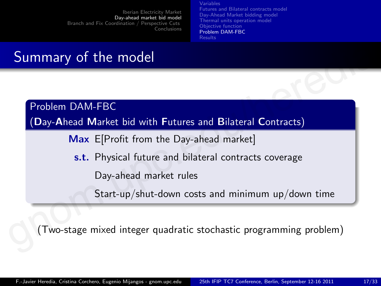Variables [Futures and Bilateral contracts model](#page-10-0) [Day-Ahead Market bidding model](#page-12-0) [Thermal units operation model](#page-14-0) [Objective function](#page-15-0) [Problem DAM-FBC](#page-16-0) [Results](#page-17-0)

# Summary of the model

Problem DAM-FBC

(Day-Ahead Market bid with Futures and Bilateral Contracts) Summary of the model<br>
Problem DAM-FBC<br>
(Day-Ahead Market bid with Futures and Bilateral Contracts)<br>
Max E[Profit from the Day-ahead market]<br>
s.t. Physical future and bilateral contracts coverage<br>
Day-ahead market rules<br>
St

Max E[Profit from the Day-ahead market]

s.t. Physical future and bilateral contracts coverage

Day-ahead market rules

<span id="page-16-0"></span>Start-up/shut-down costs and minimum up/down time

(Two-stage mixed integer quadratic stochastic programming problem)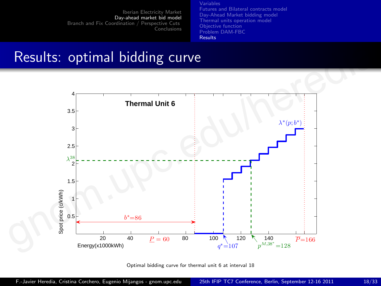Variables [Futures and Bilateral contracts model](#page-10-0) [Day-Ahead Market bidding model](#page-12-0) [Thermal units operation model](#page-14-0) [Objective function](#page-15-0) [Problem DAM-FBC](#page-16-0) [Results](#page-17-0)

## Results: optimal bidding curve



<span id="page-17-0"></span>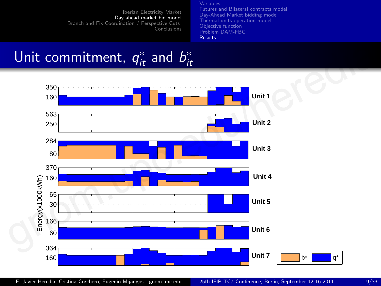Variables [Futures and Bilateral contracts model](#page-10-0) [Day-Ahead Market bidding model](#page-12-0) [Thermal units operation model](#page-14-0) [Objective function](#page-15-0) [Problem DAM-FBC](#page-16-0) [Results](#page-17-0)

### Unit commitment,  $q_{it}^*$  and  $b_{it}^*$ and  $D_{it}$

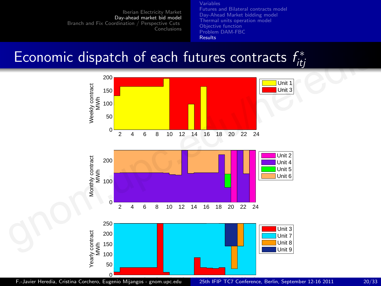Variables [Futures and Bilateral contracts model](#page-10-0) [Day-Ahead Market bidding model](#page-12-0) [Thermal units operation model](#page-14-0) [Objective function](#page-15-0) [Problem DAM-FBC](#page-16-0) [Results](#page-17-0)

## Economic dispatch of each futures contracts  $f_{it}^*$ <sup>o</sup>itj



Hour F.-Javier Heredia, Cristina Corchero, Eugenio Mijangos - gnom.upc.edu [25th IFIP TC7 Conference, Berlin, September 12-16 2011](#page-0-0) 20/33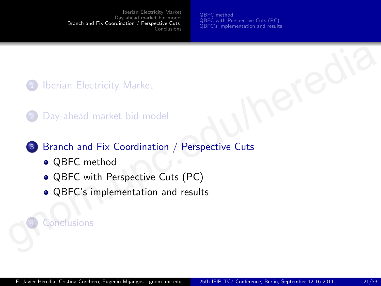<span id="page-20-0"></span>[QBFC method](#page-21-0) [QBFC with Perspective Cuts \(PC\)](#page-25-0) [QBFC's implementation and results](#page-27-0)

## **Iberian Electricity Market**

Day-ahead market bid model

# <sup>3</sup> Branch and Fix Coordination / Perspective Cuts 1 Iberian Ele[c](#page-20-0)tricity Market<br>
2 Day-ahead market bid model<br>
3 Branch and Fix Coordination / Perspective Cuts<br>
• QBFC method<br>
• QBFC with Perspective Cuts (PC)<br>
• QBFC's implementation and results<br>
• Conclusions

- QBFC method
- QBFC with Perspective Cuts (PC)
- QBFC's implementation and results

## **Conclusions**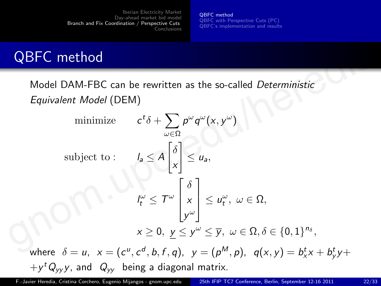<span id="page-21-0"></span>[QBFC method](#page-21-0) [QBFC with Perspective Cuts \(PC\)](#page-25-0) [QBFC's implementation and results](#page-27-0)

# QBFC method

Model DAM-FBC can be rewritten as the so-called Deterministic Equivalent Model (DEM)

**QBFC method**  
\nModel DAM-FBC can be rewritten as the so-called *Deterministic*  
\n*Equivalent Model* (DEM)  
\nminimize 
$$
c^t \delta + \sum_{\omega \in \Omega} p^{\omega} q^{\omega}(x, y^{\omega})
$$
  
\nsubject to :  $I_a \le A \begin{bmatrix} \delta \\ x \\ x \end{bmatrix} \le u_a$ ,  
\n $I_t^{\omega} \le T^{\omega} \begin{bmatrix} \delta \\ x \\ y^{\omega} \end{bmatrix} \le u_t^{\omega}, \ \omega \in \Omega$ ,  
\n $x \ge 0, \ y \le y^{\omega} \le \overline{y}, \ \omega \in \Omega, \delta \in \{0, 1\}^{n_{\delta}}$ ,  
\nwhere  $\delta = u, \ x = (c^u, c^d, b, f, q), \ y = (p^M, p), \ q(x, y) = b_x^t x + b_y^t y +$   
\n $+ y^t Q_{yy} y$ , and  $Q_{yy}$  being a diagonal matrix.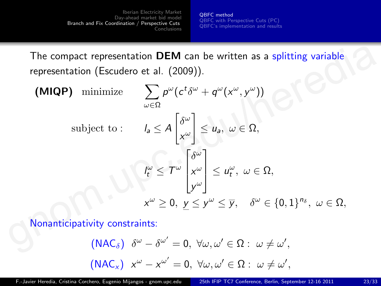[QBFC method](#page-21-0) [QBFC with Perspective Cuts \(PC\)](#page-25-0) [QBFC's implementation and results](#page-27-0)

The compact representation **DEM** can be written as a splitting variable representation (Escudero et al. (2009)).

The compact representation **DEM** can be written as a splitting variable representation (Escudero et al. (2009)).  
\n(MIQP) minimize 
$$
\sum_{\omega \in \Omega} p^{\omega} (c^t \delta^{\omega} + q^{\omega} (x^{\omega}, y^{\omega}))
$$
\nsubject to : 
$$
I_a \leq A \begin{bmatrix} \delta^{\omega} \\ x^{\omega} \end{bmatrix} \leq u_a, \ \omega \in \Omega,
$$
\n
$$
I_{\mu}^{\omega} \leq T^{\omega} \begin{bmatrix} \delta^{\omega} \\ x^{\omega} \end{bmatrix} \leq u_{\mu}^{\omega}, \ \omega \in \Omega,
$$
\n
$$
x^{\omega} \geq 0, \ y \leq y^{\omega} \leq \overline{y}, \quad \delta^{\omega} \in \{0, 1\}^{n_{\delta}}, \ \omega \in \Omega,
$$
\nNonanticipativity constraints: 
$$
(NAC_{\delta}) \ \delta^{\omega} - \delta^{\omega'} = 0, \ \forall \omega, \omega' \in \Omega : \ \omega \neq \omega',
$$

Nonanticipativity constraints:

$$
\begin{aligned}\n\text{(NAC}_{\delta}) \quad & \delta^{\omega} - \delta^{\omega'} = 0, \ \forall \omega, \omega' \in \Omega: \ \omega \neq \omega', \\
\text{(NAC}_{\times}) \quad & x^{\omega} - x^{\omega'} = 0, \ \forall \omega, \omega' \in \Omega: \ \omega \neq \omega',\n\end{aligned}
$$

F.-Javier Heredia, Cristina Corchero, Eugenio Mijangos - gnom.upc.edu 25th [IFIP TC7 Conference, Berlin, September 12-16 2011](#page-0-0) 23/33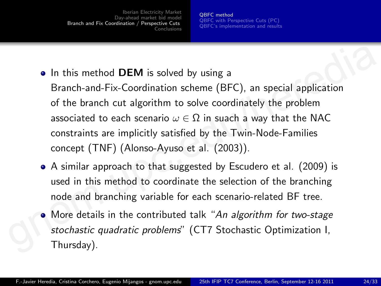[QBFC method](#page-21-0) [QBFC with Perspective Cuts \(PC\)](#page-25-0) [QBFC's implementation and results](#page-27-0)

- In this method **DEM** is solved by using a
- Branch-and-Fix-Coordination scheme (BFC), an special application of the branch cut algorithm to solve coordinately the problem associated to each scenario  $\omega \in \Omega$  in suach a way that the NAC constraints are implicitly satisfied by the Twin-Node-Families concept (TNF) (Alonso-Ayuso et al. (2003)). **•** In this method **DEM** is solved by using a<br>Branch-and-Fix-Coordination scheme (BFC), an special application<br>of the branch cut algorithm to solve coordinately the problem<br>associated to each scenario  $\omega \in \Omega$  in suach a
	- A similar approach to that suggested by Escudero et al. (2009) is used in this method to coordinate the selection of the branching node and branching variable for each scenario-related BF tree.
	- More details in the contributed talk "An algorithm for two-stage stochastic quadratic problems" (CT7 Stochastic Optimization I, Thursday).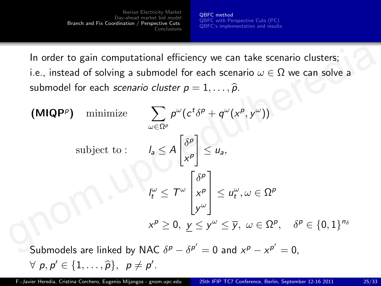[QBFC method](#page-21-0) [QBFC with Perspective Cuts \(PC\)](#page-25-0) [QBFC's implementation and results](#page-27-0)

In order to gain computational efficiency we can take scenario clusters; i.e., instead of solving a submodel for each scenario  $\omega \in \Omega$  we can solve a submodel for each *scenario cluster*  $p = 1, \ldots, \widehat{p}$ .

In order to gain computational efficiency we can take scenario clusters;  
\ni.e., instead of solving a submodule for each scenario 
$$
\omega \in \Omega
$$
 we can solve a  
\nsubmodel for each scenario *cluster*  $p = 1, ..., \hat{p}$ .  
\n(MIQP<sup>p</sup>) minimize 
$$
\sum_{\omega \in \Omega^p} p^{\omega} (c^t \delta^p + q^{\omega} (x^p, y^{\omega}))
$$
\nsubject to : 
$$
I_a \leq A \begin{bmatrix} \delta^p \\ x^p \end{bmatrix} \leq u_a,
$$
\n
$$
I_{\tilde{t}}^{\omega} \leq T^{\omega} \begin{bmatrix} \delta^p \\ x^p \\ y^{\omega} \end{bmatrix} \leq u_{\tilde{t}}^{\omega}, \omega \in \Omega^p
$$
\n
$$
x^p \geq 0, y \leq y^{\omega} \leq \overline{y}, \omega \in \Omega^p, \delta^p \in \{0, 1\}^{n_{\delta}}
$$
\nSubmodels are linked by NAC  $\delta^p - \delta^{p'} = 0$  and  $x^p - x^{p'} = 0$ ,

Submodels are linked by NAC  $\delta^p - \delta^{p'} = 0$  and  $x^p - x^{p'} = 0$ ,  $\forall p, p' \in \{1, \ldots, \widehat{p}\}, p \neq p'.$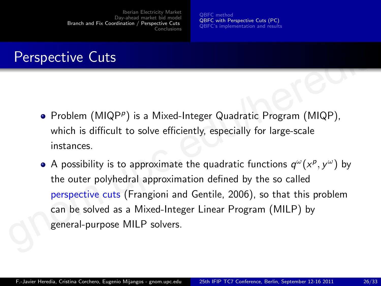<span id="page-25-0"></span>[QBFC method](#page-21-0) [QBFC with Perspective Cuts \(PC\)](#page-25-0) [QBFC's implementation and results](#page-27-0)

# Perspective Cuts

- Problem (MIQP<sup>p</sup>) is a Mixed-Integer Quadratic Program (MIQP), which is difficult to solve efficiently, especially for large-scale instances.
- A possibility is to approximate the quadratic functions  $q^{\omega}(x^p, y^{\omega})$  by the outer polyhedral approximation defined by the so called perspective cuts (Frangioni and Gentile, 2006), so that this problem can be solved as a Mixed-Integer Linear Program (MILP) by general-purpose MILP solvers. **Perspective Cuts**<br>
• Problem (MIQP<sup>p</sup>) is a Mixed-Integer Quadratic Program (MIQP),<br>
which is difficult to solve efficiently, especially for large-scale<br>
instances.<br>
• A possibility is to approximate the quadratic functi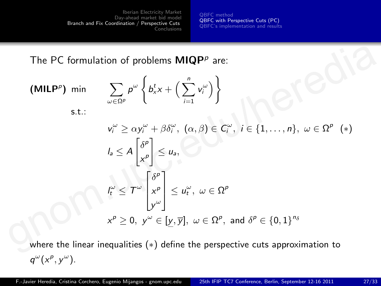[QBFC method](#page-21-0) [QBFC with Perspective Cuts \(PC\)](#page-25-0) [QBFC's implementation and results](#page-27-0)

The PC formulation of problems  $MIQP^p$  are:

The PC formulation of problems **MIQP<sup>p</sup>** are:  
\n(**MILP<sup>p</sup>**) min 
$$
\sum_{\omega \in \Omega^p} p^{\omega} \left\{ b_x^t x + \left( \sum_{i=1}^n v_i^{\omega} \right) \right\}
$$
\ns.t.:  
\n
$$
v_i^{\omega} \ge \alpha y_i^{\omega} + \beta \delta_i^{\omega}, \ (\alpha, \beta) \in C_i^{\omega}, \ i \in \{1, ..., n\}, \ \omega \in \Omega^p \ (*)
$$
\n
$$
I_a \le A \begin{bmatrix} \delta^p \\ x^p \end{bmatrix} \le u_a,
$$
\n
$$
I_{\tau}^{\omega} \le T^{\omega} \begin{bmatrix} \delta^p \\ x^p \\ y^{\omega} \end{bmatrix} \le u_{\tau}^{\omega}, \ \omega \in \Omega^p
$$
\n
$$
x^p \ge 0, \ y^{\omega} \in [\underline{y}, \overline{y}], \ \omega \in \Omega^p, \text{ and } \delta^p \in \{0, 1\}^{n_{\delta}}
$$
\nwhere the linear inequalities (\*) define the perspective cuts approximation to

where the linear inequalities (\*) define the perspective cuts approximation to  $q^{\omega}(x^p, y^{\omega}).$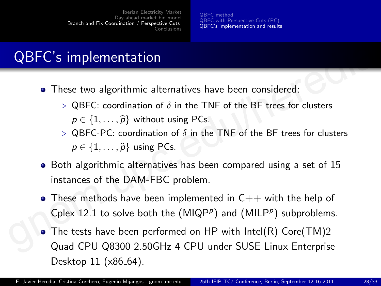<span id="page-27-0"></span>[QBFC method](#page-21-0) [QBFC with Perspective Cuts \(PC\)](#page-25-0) [QBFC's implementation and results](#page-27-0)

# QBFC's implementation

- These two algorithmic alternatives have been considered:
	- $\triangleright$  QBFC: coordination of  $\delta$  in the TNF of the BF trees for clusters  $p \in \{1, \ldots, \widehat{p}\}\$  without using PCs.
	- $\triangleright$  QBFC-PC: coordination of  $\delta$  in the TNF of the BF trees for clusters  $p \in \{1, \ldots, \widehat{p}\}\$ using PCs.
- Both algorithmic alternatives has been compared using a set of 15 instances of the DAM-FBC problem.
- These methods have been implemented in  $C_{++}$  with the help of Cplex 12.1 to solve both the  $(MIQP^p)$  and  $(MILP^p)$  subproblems.
- The tests have been performed on HP with Intel(R) Core(TM)2 Quad CPU Q8300 2.50GHz 4 CPU under SUSE Linux Enterprise Desktop  $11$  ( $\times 86_64$ ). **QBFC's implementation**<br>
• These two algorithmic alternatives have been considered:<br>
• QBFC: coordination of  $\delta$  in the TNF of the BF trees for clusters<br>
•  $\rho \in \{1, ..., \hat{p}\}$  without using PCs.<br>
• QBFC-PC: coordination of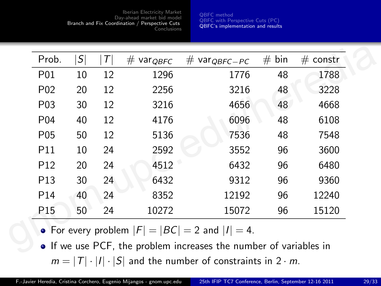[QBFC method](#page-21-0) [QBFC with Perspective Cuts \(PC\)](#page-25-0) [QBFC's implementation and results](#page-27-0)

| Prob.            | $\mathcal{S} $ | $\tau$ | $#$ var $_{QBFC}$ | $#$ var $_{QBFC-PC}$ | #<br>bin | $#$ constr    |  |
|------------------|----------------|--------|-------------------|----------------------|----------|---------------|--|
| P01              | 10             | 12     | 1296              | 1776                 | 48       | 1788          |  |
| P <sub>02</sub>  | 20             | 12     | 2256              | 3216                 | 48       | 3228          |  |
| P <sub>0</sub> 3 | 30             | 12     | 3216              | 4656                 | 48       | 4668          |  |
| P <sub>04</sub>  | 40             | 12     | 4176              | 6096                 | 48       | 6108          |  |
| P <sub>05</sub>  | 50             | 12     | 5136              | 7536                 | 48       | 7548          |  |
| P <sub>11</sub>  | 10             | 24     | 2592              | 3552                 | 96       | 3600          |  |
| P <sub>12</sub>  | 20             | 24     | 4512              | 6432                 | 96       | 6480          |  |
| P <sub>13</sub>  | 30             | 24     | 6432              | 9312                 | 96       | 9360<br>12240 |  |
| P <sub>14</sub>  | 40             | 24     | 8352              | 12192                | 96       |               |  |
| P <sub>15</sub>  | 50             | 24     | 10272             | 15072                | 96       | 15120         |  |

• If we use PCF, the problem increases the number of variables in  $m = |T| \cdot |I| \cdot |S|$  and the number of constraints in  $2 \cdot m$ .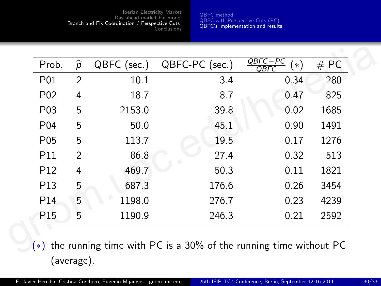[QBFC method](#page-21-0) [QBFC with Perspective Cuts \(PC\)](#page-25-0) [QBFC's implementation and results](#page-27-0)

| #PC  | $\frac{QBFC-PC}{QBFC}$<br>ั∗) | QBFC-PC (sec.) | QBFC (sec.) | $\widehat{p}$ | Prob.            |
|------|-------------------------------|----------------|-------------|---------------|------------------|
| 280  | 0.34                          | 3.4            | 10.1        | 2             | P01              |
| 825  | 0.47                          | 8.7            | 18.7        | 4             | P <sub>0</sub> 2 |
| 1685 | 0.02                          | 39.8           | 2153.0      | 5             | P <sub>0</sub> 3 |
| 1491 | 0.90                          | 45.1           | 50.0        | 5             | P <sub>04</sub>  |
| 1276 | 0.17                          | 19.5           | 113.7       | 5             | P <sub>05</sub>  |
| 513  | 0.32                          | 27.4           | 86.8        | 2             | P <sub>11</sub>  |
| 1821 | 0.11                          | 50.3           | 469.7       | 4             | P <sub>12</sub>  |
| 3454 | 0.26                          | 176.6          | 687.3       | 5             | P <sub>13</sub>  |
| 4239 | 0.23                          | 276.7          | 1198.0      | 5             | P <sub>14</sub>  |
| 2592 | 0.21                          | 246.3          | 1190.9      | 5             | P <sub>15</sub>  |

(∗) the running time with PC is a 30% of the running time without PC (average).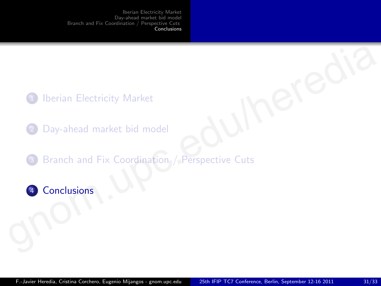- <sup>1</sup> Iberian Electricity Market
- <span id="page-30-0"></span>Day-ahead market bid model
- 3 Branch and Fix Coordination / Perspective Cuts The University Market<br>
2 Day-ahead [m](#page-30-0)arket bid model<br>
3 Branch and Fix Coordination / Perspective Cuts<br>
3 Conclusions
	- 4 Conclusions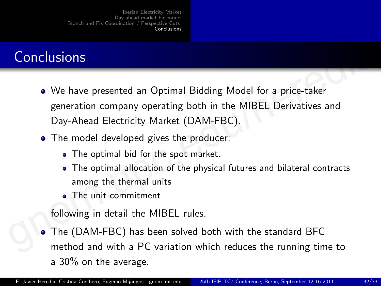# **Conclusions**

- We have presented an Optimal Bidding Model for a price-taker generation company operating both in the MIBEL Derivatives and Day-Ahead Electricity Market (DAM-FBC). **Conclusions**<br>
• We have presented an Optimal Bidding Model for a price-taker<br>
generation company operating both in the MIBEL Derivatives and<br>
Day-Ahead Electricity Market (DAM-FBC).<br>
• The model developed gives the produc
	- The model developed gives the producer:
		- The optimal bid for the spot market.
		- The optimal allocation of the physical futures and bilateral contracts among the thermal units
		- The unit commitment

following in detail the MIBEL rules.

The (DAM-FBC) has been solved both with the standard BFC method and with a PC variation which reduces the running time to a 30% on the average.